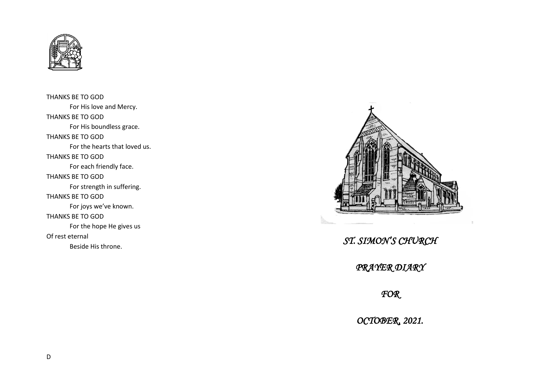

THANKS BE TO GOD For His love and Mercy. THANKS BE TO GOD For His boundless grace. THANKS BE TO GOD For the hearts that loved us. THANKS BE TO GOD For each friendly face. THANKS BE TO GOD For strength in suffering. THANKS BE TO GOD For joys we've known. THANKS BE TO GOD For the hope He gives us Of rest eternal Beside His throne.



*ST. SIMON'S CHURCH* 

*PRAYER DIARY* 

*FOR* 

*OCTOBER, 2021.*